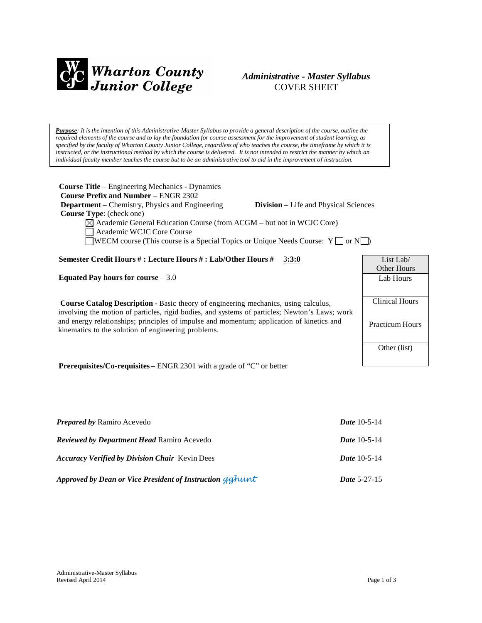

# *Administrative - Master Syllabus* COVER SHEET

Purpose: It is the intention of this Administrative-Master Syllabus to provide a general description of the course, outline the required elements of the course and to lay the foundation for course assessment for the improvement of student learning, as specified by the faculty of Wharton County Junior College, regardless of who teaches the course, the timeframe by which it is instructed, or the instructional method by which the course is delivered. It is not intended to restrict the manner by which an *individual faculty member teaches the course but to be an administrative tool to aid in the improvement of instruction.*

| <b>Course Title</b> – Engineering Mechanics - Dynamics                                                 |                        |  |  |
|--------------------------------------------------------------------------------------------------------|------------------------|--|--|
| <b>Course Prefix and Number – ENGR 2302</b>                                                            |                        |  |  |
| <b>Department</b> – Chemistry, Physics and Engineering<br><b>Division</b> – Life and Physical Sciences |                        |  |  |
| <b>Course Type:</b> (check one)                                                                        |                        |  |  |
| $\boxtimes$ Academic General Education Course (from ACGM – but not in WCJC Core)                       |                        |  |  |
| Academic WCJC Core Course                                                                              |                        |  |  |
| WECM course (This course is a Special Topics or Unique Needs Course: $Y \cap Y$                        |                        |  |  |
|                                                                                                        |                        |  |  |
| Semester Credit Hours # : Lecture Hours # : Lab/Other Hours #<br>3:3:0                                 | List Lab $\ell$        |  |  |
|                                                                                                        | <b>Other Hours</b>     |  |  |
| Equated Pay hours for course $-3.0$                                                                    | Lab Hours              |  |  |
|                                                                                                        |                        |  |  |
|                                                                                                        |                        |  |  |
| <b>Course Catalog Description - Basic theory of engineering mechanics, using calculus,</b>             | <b>Clinical Hours</b>  |  |  |
| involving the motion of particles, rigid bodies, and systems of particles; Newton's Laws; work         |                        |  |  |
| and energy relationships; principles of impulse and momentum; application of kinetics and              | <b>Practicum Hours</b> |  |  |
| kinematics to the solution of engineering problems.                                                    |                        |  |  |
|                                                                                                        |                        |  |  |
|                                                                                                        | Other (list)           |  |  |
|                                                                                                        |                        |  |  |
| <b>DramanigitalCa requisites</b> $\Box$ NCD 2201 with a grade of "C" or bottor"                        |                        |  |  |

**Prerequisites/Co-requisites** – ENGR 2301 with a grade of "C" or better

| <b>Prepared by Ramiro Acevedo</b>                        | <i>Date</i> $10-5-14$ |
|----------------------------------------------------------|-----------------------|
| <b>Reviewed by Department Head Ramiro Acevedo</b>        | <i>Date</i> 10-5-14   |
| <b>Accuracy Verified by Division Chair</b> Kevin Dees    | <i>Date</i> $10-5-14$ |
| Approved by Dean or Vice President of Instruction gghunt | <b>Date 5-27-15</b>   |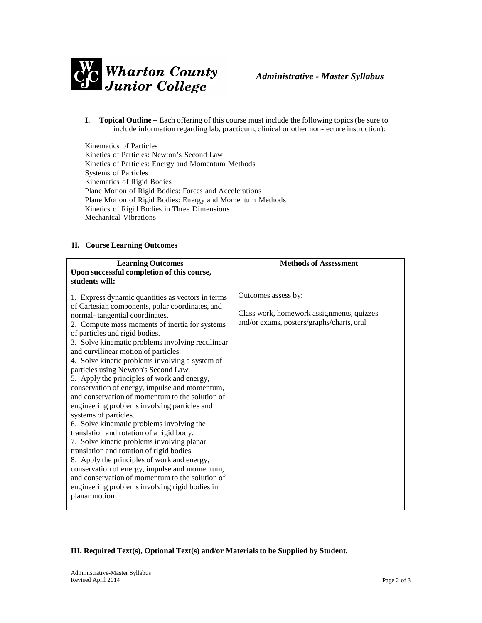

**I. Topical Outline** – Each offering of this course must include the following topics (be sure to include information regarding lab, practicum, clinical or other non-lecture instruction):

Kinematics of Particles Kinetics of Particles: Newton's Second Law Kinetics of Particles: Energy and Momentum Methods Systems of Particles Kinematics of Rigid Bodies Plane Motion of Rigid Bodies: Forces and Accelerations Plane Motion of Rigid Bodies: Energy and Momentum Methods Kinetics of Rigid Bodies in Three Dimensions Mechanical Vibrations

# **II. Course Learning Outcomes**

| <b>Learning Outcomes</b><br>Upon successful completion of this course,<br>students will:                                                                                                                                                                                                                                                                                                                                                                                                                                                                                                                                                                                                                                                                                                                                                                                                                                                                                                                                                                  | <b>Methods of Assessment</b>                                                                                  |
|-----------------------------------------------------------------------------------------------------------------------------------------------------------------------------------------------------------------------------------------------------------------------------------------------------------------------------------------------------------------------------------------------------------------------------------------------------------------------------------------------------------------------------------------------------------------------------------------------------------------------------------------------------------------------------------------------------------------------------------------------------------------------------------------------------------------------------------------------------------------------------------------------------------------------------------------------------------------------------------------------------------------------------------------------------------|---------------------------------------------------------------------------------------------------------------|
| 1. Express dynamic quantities as vectors in terms<br>of Cartesian components, polar coordinates, and<br>normal-tangential coordinates.<br>2. Compute mass moments of inertia for systems<br>of particles and rigid bodies.<br>3. Solve kinematic problems involving rectilinear<br>and curvilinear motion of particles.<br>4. Solve kinetic problems involving a system of<br>particles using Newton's Second Law.<br>5. Apply the principles of work and energy,<br>conservation of energy, impulse and momentum,<br>and conservation of momentum to the solution of<br>engineering problems involving particles and<br>systems of particles.<br>6. Solve kinematic problems involving the<br>translation and rotation of a rigid body.<br>7. Solve kinetic problems involving planar<br>translation and rotation of rigid bodies.<br>8. Apply the principles of work and energy,<br>conservation of energy, impulse and momentum,<br>and conservation of momentum to the solution of<br>engineering problems involving rigid bodies in<br>planar motion | Outcomes assess by:<br>Class work, homework assignments, quizzes<br>and/or exams, posters/graphs/charts, oral |
|                                                                                                                                                                                                                                                                                                                                                                                                                                                                                                                                                                                                                                                                                                                                                                                                                                                                                                                                                                                                                                                           |                                                                                                               |

**III. Required Text(s), Optional Text(s) and/or Materials to be Supplied by Student.**